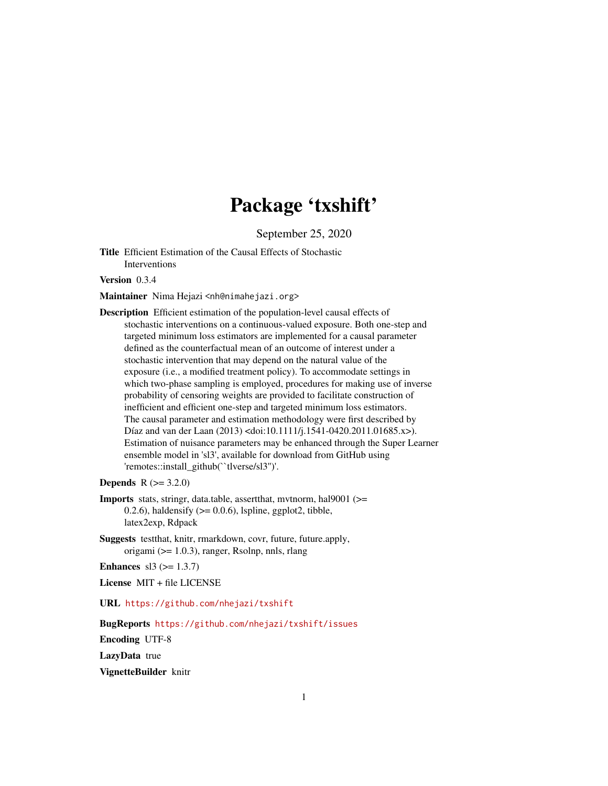# Package 'txshift'

September 25, 2020

<span id="page-0-0"></span>Title Efficient Estimation of the Causal Effects of Stochastic Interventions

Version 0.3.4

Maintainer Nima Hejazi <nh@nimahejazi.org>

Description Efficient estimation of the population-level causal effects of stochastic interventions on a continuous-valued exposure. Both one-step and targeted minimum loss estimators are implemented for a causal parameter defined as the counterfactual mean of an outcome of interest under a stochastic intervention that may depend on the natural value of the exposure (i.e., a modified treatment policy). To accommodate settings in which two-phase sampling is employed, procedures for making use of inverse probability of censoring weights are provided to facilitate construction of inefficient and efficient one-step and targeted minimum loss estimators. The causal parameter and estimation methodology were first described by Díaz and van der Laan (2013) <doi:10.1111/j.1541-0420.2011.01685.x>). Estimation of nuisance parameters may be enhanced through the Super Learner ensemble model in 'sl3', available for download from GitHub using 'remotes::install\_github(``tlverse/sl3'')'.

**Depends**  $R (= 3.2.0)$ 

- Imports stats, stringr, data.table, assertthat, mvtnorm, hal9001 (>= 0.2.6), haldensify  $(>= 0.0.6)$ , lspline, ggplot2, tibble, latex2exp, Rdpack
- Suggests testthat, knitr, rmarkdown, covr, future, future.apply, origami (>= 1.0.3), ranger, Rsolnp, nnls, rlang

**Enhances** sl3 ( $> = 1.3.7$ )

License MIT + file LICENSE

URL <https://github.com/nhejazi/txshift>

BugReports <https://github.com/nhejazi/txshift/issues>

Encoding UTF-8

LazyData true

VignetteBuilder knitr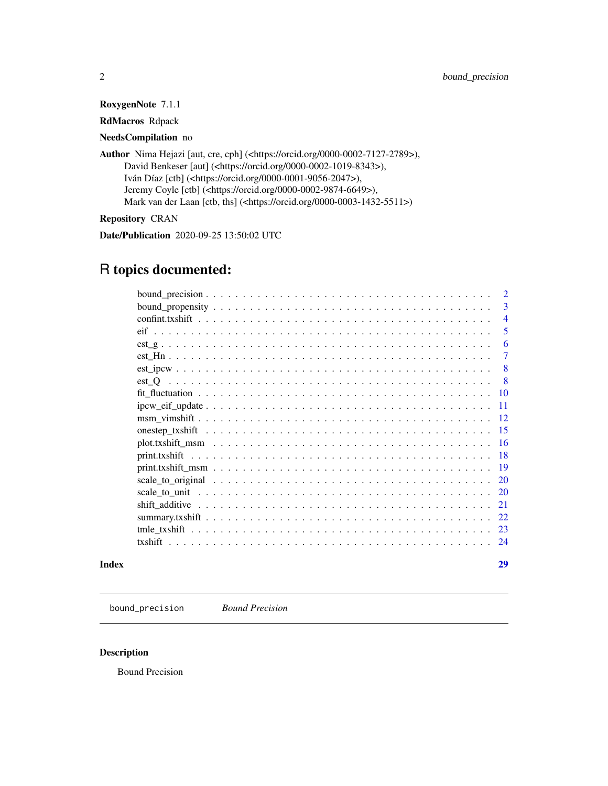<span id="page-1-0"></span>RoxygenNote 7.1.1

RdMacros Rdpack

# NeedsCompilation no

| Author Nima Hejazi [aut, cre, cph] ( <https: 0000-0002-7127-2789="" orcid.org="">),</https:> |
|----------------------------------------------------------------------------------------------|
| David Benkeser [aut] ( <https: 0000-0002-1019-8343="" orcid.org="">),</https:>               |
| Iván Díaz [ctb] ( <https: 0000-0001-9056-2047="" orcid.org="">),</https:>                    |
| Jeremy Coyle [ctb] ( <https: 0000-0002-9874-6649="" orcid.org="">),</https:>                 |
| Mark van der Laan [ctb, ths] ( <https: 0000-0003-1432-5511="" orcid.org="">)</https:>        |
|                                                                                              |

# Repository CRAN

Date/Publication 2020-09-25 13:50:02 UTC

# R topics documented:

|                                                                                                         | $\overline{2}$ |
|---------------------------------------------------------------------------------------------------------|----------------|
|                                                                                                         | $\mathbf{3}$   |
|                                                                                                         | $\overline{4}$ |
|                                                                                                         | 5              |
|                                                                                                         | 6              |
|                                                                                                         | 7              |
|                                                                                                         | 8              |
|                                                                                                         | - 8            |
|                                                                                                         | -10            |
| $ipcw\_eif\_update \dots \dots \dots \dots \dots \dots \dots \dots \dots \dots \dots \dots \dots \dots$ | 11             |
|                                                                                                         | -12            |
|                                                                                                         | -15            |
|                                                                                                         |                |
|                                                                                                         | -18            |
|                                                                                                         |                |
|                                                                                                         | 20             |
|                                                                                                         | 20             |
|                                                                                                         | 21             |
|                                                                                                         | 22.            |
|                                                                                                         | 23             |
| txshift                                                                                                 | 24             |
|                                                                                                         |                |

# **Index** [29](#page-28-0)

bound\_precision *Bound Precision*

# Description

Bound Precision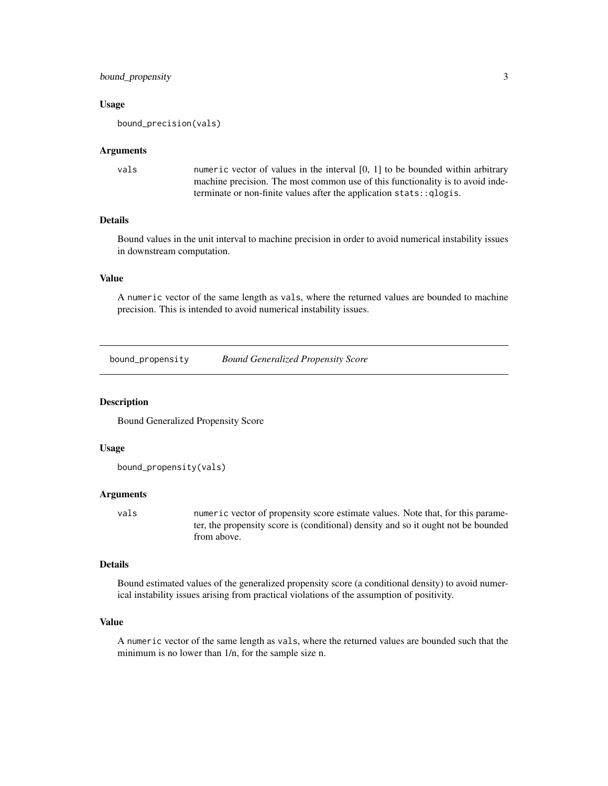# <span id="page-2-0"></span>bound\_propensity 3

#### Usage

bound\_precision(vals)

#### Arguments

| vals | numeric vector of values in the interval $[0, 1]$ to be bounded within arbitrary |
|------|----------------------------------------------------------------------------------|
|      | machine precision. The most common use of this functionality is to avoid inde-   |
|      | terminate or non-finite values after the application stats: : qlogis.            |

# Details

Bound values in the unit interval to machine precision in order to avoid numerical instability issues in downstream computation.

# Value

A numeric vector of the same length as vals, where the returned values are bounded to machine precision. This is intended to avoid numerical instability issues.

bound\_propensity *Bound Generalized Propensity Score*

#### Description

Bound Generalized Propensity Score

#### Usage

```
bound_propensity(vals)
```
#### Arguments

vals numeric vector of propensity score estimate values. Note that, for this parameter, the propensity score is (conditional) density and so it ought not be bounded from above.

# Details

Bound estimated values of the generalized propensity score (a conditional density) to avoid numerical instability issues arising from practical violations of the assumption of positivity.

# Value

A numeric vector of the same length as vals, where the returned values are bounded such that the minimum is no lower than 1/n, for the sample size n.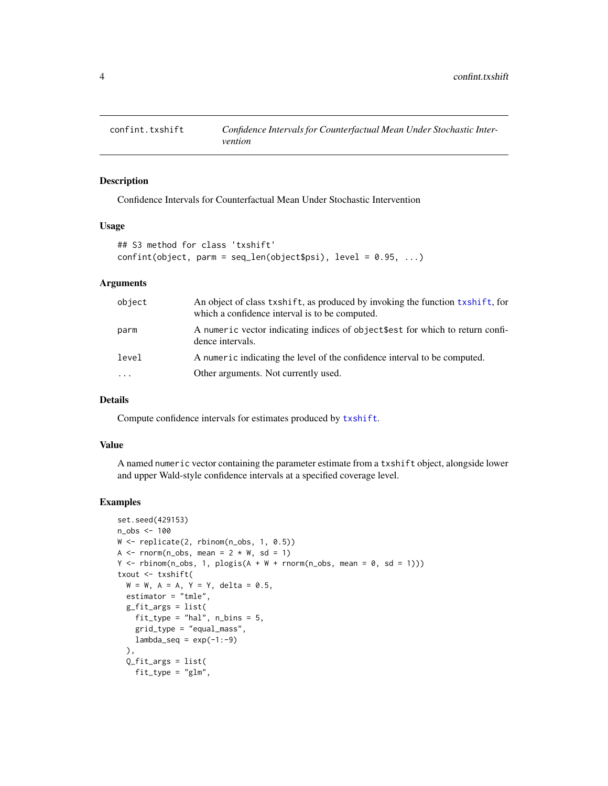<span id="page-3-0"></span>

# Description

Confidence Intervals for Counterfactual Mean Under Stochastic Intervention

#### Usage

```
## S3 method for class 'txshift'
confint(object, parm = seq_length(object$psi], level = 0.95, ...)
```
# Arguments

| object   | An object of class txshift, as produced by invoking the function txshift, for<br>which a confidence interval is to be computed. |
|----------|---------------------------------------------------------------------------------------------------------------------------------|
| parm     | A numeric vector indicating indices of object \$est for which to return confi-<br>dence intervals.                              |
| level    | A numeric indicating the level of the confidence interval to be computed.                                                       |
| $\cdots$ | Other arguments. Not currently used.                                                                                            |

## Details

Compute confidence intervals for estimates produced by [txshift](#page-23-1).

#### Value

A named numeric vector containing the parameter estimate from a txshift object, alongside lower and upper Wald-style confidence intervals at a specified coverage level.

```
set.seed(429153)
n_obs <- 100
W <- replicate(2, rbinom(n_obs, 1, 0.5))
A \leq rnorm(n_obs, mean = 2 \angle W, sd = 1)
Y \le rbinom(n_obs, 1, plogis(A + W + rnorm(n_obs, mean = 0, sd = 1)))
txout <- txshift(
  W = W, A = A, Y = Y, delta = 0.5,
  estimator = "tmle",
  g_fit_args = list(
    fit_type = "hal", n_bins = 5,grid_type = "equal_mass",
   lambda\_seq = exp(-1:-9)),
  Q_fit_args = list(
   fit_type = "glm",
```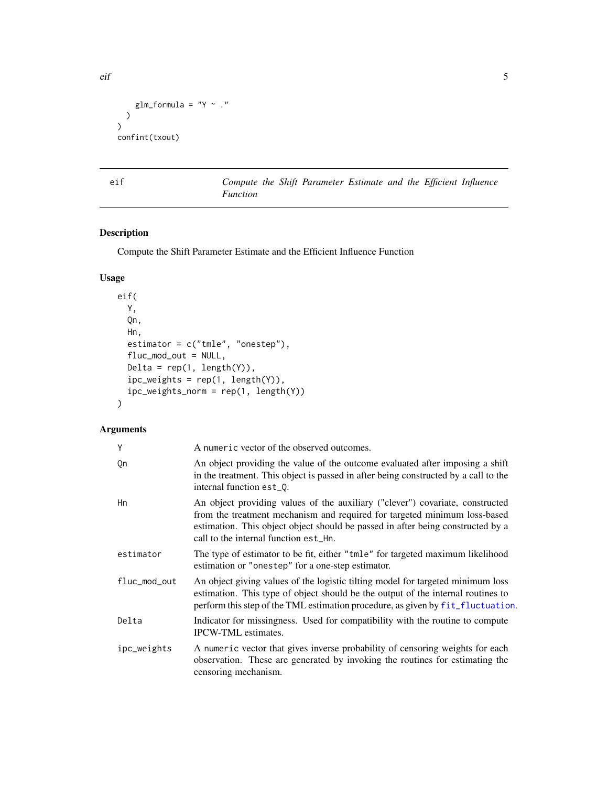```
glm_formula = "Y \sim ."
  )
\mathcal{L}confint(txout)
```
eif *Compute the Shift Parameter Estimate and the Efficient Influence Function*

# Description

Compute the Shift Parameter Estimate and the Efficient Influence Function

# Usage

```
eif(
 Y,
 Qn,
 Hn,
 estimator = c("tmle", "onestep"),
  fluc_mod_out = NULL,
 Delta = rep(1, length(Y)),ipc_weights = rep(1, length(Y)),ipc_weights_norm = rep(1, length(Y))
\mathcal{L}
```
# Arguments

| Υ            | A numeric vector of the observed outcomes.                                                                                                                                                                                                                                             |
|--------------|----------------------------------------------------------------------------------------------------------------------------------------------------------------------------------------------------------------------------------------------------------------------------------------|
| Qn           | An object providing the value of the outcome evaluated after imposing a shift<br>in the treatment. This object is passed in after being constructed by a call to the<br>internal function est_0.                                                                                       |
| Hn           | An object providing values of the auxiliary ("clever") covariate, constructed<br>from the treatment mechanism and required for targeted minimum loss-based<br>estimation. This object object should be passed in after being constructed by a<br>call to the internal function est_Hn. |
| estimator    | The type of estimator to be fit, either "tmle" for targeted maximum likelihood<br>estimation or "onestep" for a one-step estimator.                                                                                                                                                    |
| fluc mod out | An object giving values of the logistic tilting model for targeted minimum loss<br>estimation. This type of object should be the output of the internal routines to<br>perform this step of the TML estimation procedure, as given by fit_fluctuation.                                 |
| Delta        | Indicator for missingness. Used for compatibility with the routine to compute<br><b>IPCW-TML</b> estimates.                                                                                                                                                                            |
| ipc_weights  | A numeric vector that gives inverse probability of censoring weights for each<br>observation. These are generated by invoking the routines for estimating the<br>censoring mechanism.                                                                                                  |

<span id="page-4-0"></span>eif 5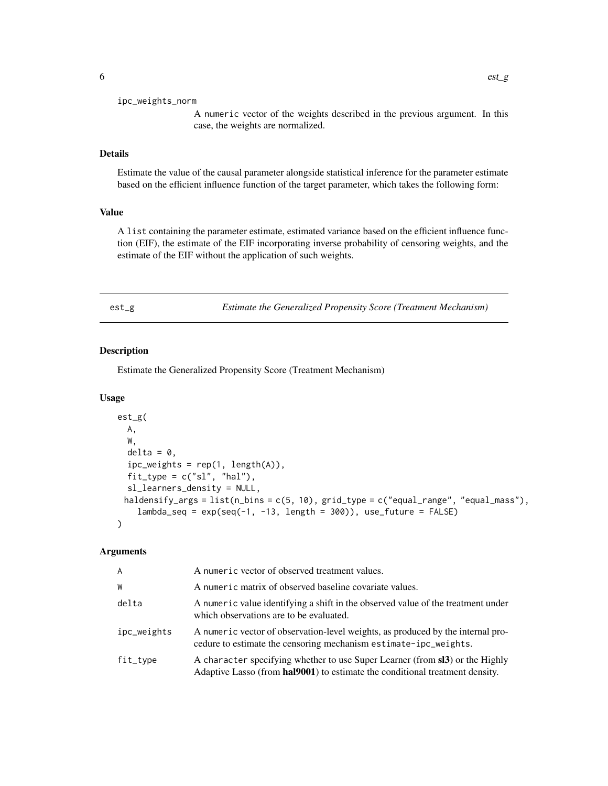#### <span id="page-5-0"></span>ipc\_weights\_norm

A numeric vector of the weights described in the previous argument. In this case, the weights are normalized.

# Details

Estimate the value of the causal parameter alongside statistical inference for the parameter estimate based on the efficient influence function of the target parameter, which takes the following form:

# Value

A list containing the parameter estimate, estimated variance based on the efficient influence function (EIF), the estimate of the EIF incorporating inverse probability of censoring weights, and the estimate of the EIF without the application of such weights.

<span id="page-5-1"></span>est\_g *Estimate the Generalized Propensity Score (Treatment Mechanism)*

#### Description

Estimate the Generalized Propensity Score (Treatment Mechanism)

### Usage

```
est_g(
 A,
 W,
  delta = 0,
  ipc_weights = rep(1, length(A)),fit_type = c("sl", "hal"),sl_learners_density = NULL,
 haldensify_args = list(n_bins = c(5, 10), grid_type = c("equal_range", "equal\_mass"),
    lambda\_seq = exp(seq(-1, -13, length = 300), use_fature = FALSE)
)
```

| A           | A numeric vector of observed treatment values.                                                                                                               |
|-------------|--------------------------------------------------------------------------------------------------------------------------------------------------------------|
| W           | A numeric matrix of observed baseline covariate values.                                                                                                      |
| delta       | A numeric value identifying a shift in the observed value of the treatment under<br>which observations are to be evaluated.                                  |
| ipc_weights | A numeric vector of observation-level weights, as produced by the internal pro-<br>cedure to estimate the censoring mechanism estimate-ipc_weights.          |
| fit_type    | A character specifying whether to use Super Learner (from sl3) or the Highly<br>Adaptive Lasso (from hal9001) to estimate the conditional treatment density. |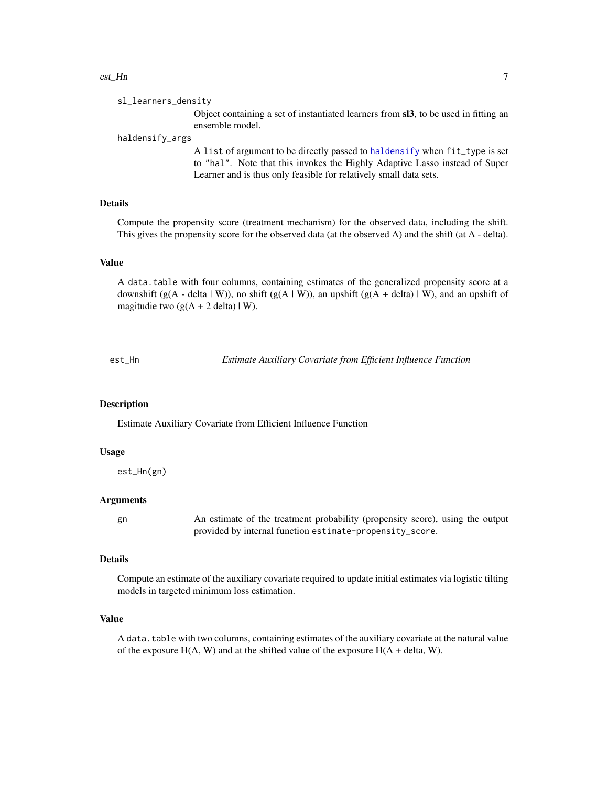#### <span id="page-6-0"></span>est\_Hn 7

Object containing a set of instantiated learners from sl3, to be used in fitting an ensemble model.

#### haldensify\_args

A list of argument to be directly passed to [haldensify](#page-0-0) when fit\_type is set to "hal". Note that this invokes the Highly Adaptive Lasso instead of Super Learner and is thus only feasible for relatively small data sets.

# Details

Compute the propensity score (treatment mechanism) for the observed data, including the shift. This gives the propensity score for the observed data (at the observed A) and the shift (at A - delta).

# Value

A data.table with four columns, containing estimates of the generalized propensity score at a downshift (g(A - delta | W)), no shift (g(A | W)), an upshift (g(A + delta) | W), and an upshift of magitudie two  $(g(A + 2 \text{ delta}) | W)$ .

<span id="page-6-1"></span>est\_Hn *Estimate Auxiliary Covariate from Efficient Influence Function*

# Description

Estimate Auxiliary Covariate from Efficient Influence Function

#### Usage

est\_Hn(gn)

#### Arguments

gn An estimate of the treatment probability (propensity score), using the output provided by internal function estimate-propensity\_score.

#### Details

Compute an estimate of the auxiliary covariate required to update initial estimates via logistic tilting models in targeted minimum loss estimation.

#### Value

A data.table with two columns, containing estimates of the auxiliary covariate at the natural value of the exposure  $H(A, W)$  and at the shifted value of the exposure  $H(A + delta, W)$ .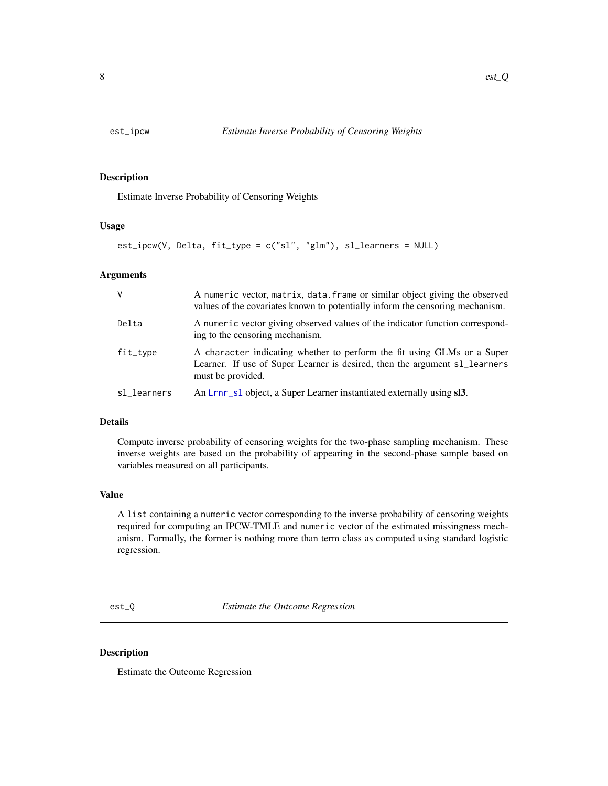<span id="page-7-2"></span><span id="page-7-0"></span>

# Description

Estimate Inverse Probability of Censoring Weights

#### Usage

```
est_ipcw(V, Delta, fit_type = c("sl", "glm"), sl_learners = NULL)
```
#### Arguments

| $\vee$      | A numeric vector, matrix, data. frame or similar object giving the observed<br>values of the covariates known to potentially inform the censoring mechanism.               |
|-------------|----------------------------------------------------------------------------------------------------------------------------------------------------------------------------|
| Delta       | A numeric vector giving observed values of the indicator function correspond-<br>ing to the censoring mechanism.                                                           |
| fit_type    | A character indicating whether to perform the fit using GLMs or a Super<br>Learner. If use of Super Learner is desired, then the argument sl_learners<br>must be provided. |
| sl_learners | An Lrnr_s1 object, a Super Learner instantiated externally using sl3.                                                                                                      |

# Details

Compute inverse probability of censoring weights for the two-phase sampling mechanism. These inverse weights are based on the probability of appearing in the second-phase sample based on variables measured on all participants.

#### Value

A list containing a numeric vector corresponding to the inverse probability of censoring weights required for computing an IPCW-TMLE and numeric vector of the estimated missingness mechanism. Formally, the former is nothing more than term class as computed using standard logistic regression.

<span id="page-7-1"></span>est\_Q *Estimate the Outcome Regression*

#### Description

Estimate the Outcome Regression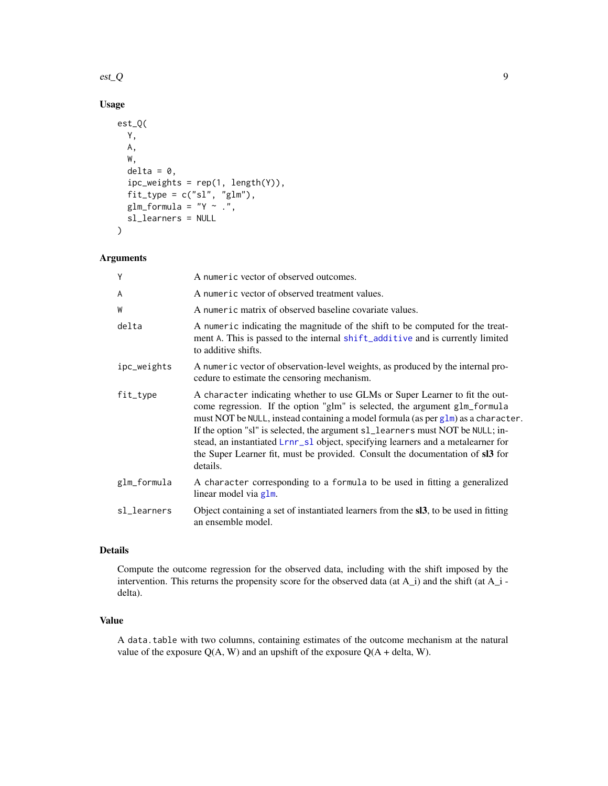# <span id="page-8-0"></span> $\text{est}\_\text{Q}$  9

# Usage

```
est_Q(
 Y,
 A,
 W,
  delta = 0,
  ipc_weights = rep(1, length(Y)),
  fit_type = c("sl", "glm"),
  glm_formula = "Y ~ .",
  sl_learners = NULL
)
```
# Arguments

| Υ           | A numeric vector of observed outcomes.                                                                                                                                                                                                                                                                                                                                                                                                                                                                            |
|-------------|-------------------------------------------------------------------------------------------------------------------------------------------------------------------------------------------------------------------------------------------------------------------------------------------------------------------------------------------------------------------------------------------------------------------------------------------------------------------------------------------------------------------|
| A           | A numeric vector of observed treatment values.                                                                                                                                                                                                                                                                                                                                                                                                                                                                    |
| W           | A numeric matrix of observed baseline covariate values.                                                                                                                                                                                                                                                                                                                                                                                                                                                           |
| delta       | A numeric indicating the magnitude of the shift to be computed for the treat-<br>ment A. This is passed to the internal shift_additive and is currently limited<br>to additive shifts.                                                                                                                                                                                                                                                                                                                            |
| ipc_weights | A numeric vector of observation-level weights, as produced by the internal pro-<br>cedure to estimate the censoring mechanism.                                                                                                                                                                                                                                                                                                                                                                                    |
| fit_type    | A character indicating whether to use GLMs or Super Learner to fit the out-<br>come regression. If the option "glm" is selected, the argument glm_formula<br>must NOT be NULL, instead containing a model formula (as per glm) as a character.<br>If the option "sl" is selected, the argument s1_learners must NOT be NULL; in-<br>stead, an instantiated Lrnr_sl object, specifying learners and a metalearner for<br>the Super Learner fit, must be provided. Consult the documentation of sl3 for<br>details. |
| glm_formula | A character corresponding to a formula to be used in fitting a generalized<br>linear model via glm.                                                                                                                                                                                                                                                                                                                                                                                                               |
| sl_learners | Object containing a set of instantiated learners from the sl3, to be used in fitting<br>an ensemble model.                                                                                                                                                                                                                                                                                                                                                                                                        |

# Details

Compute the outcome regression for the observed data, including with the shift imposed by the intervention. This returns the propensity score for the observed data (at  $A_i$ ) and the shift (at  $A_i$  delta).

### Value

A data.table with two columns, containing estimates of the outcome mechanism at the natural value of the exposure  $Q(A, W)$  and an upshift of the exposure  $Q(A + delta, W)$ .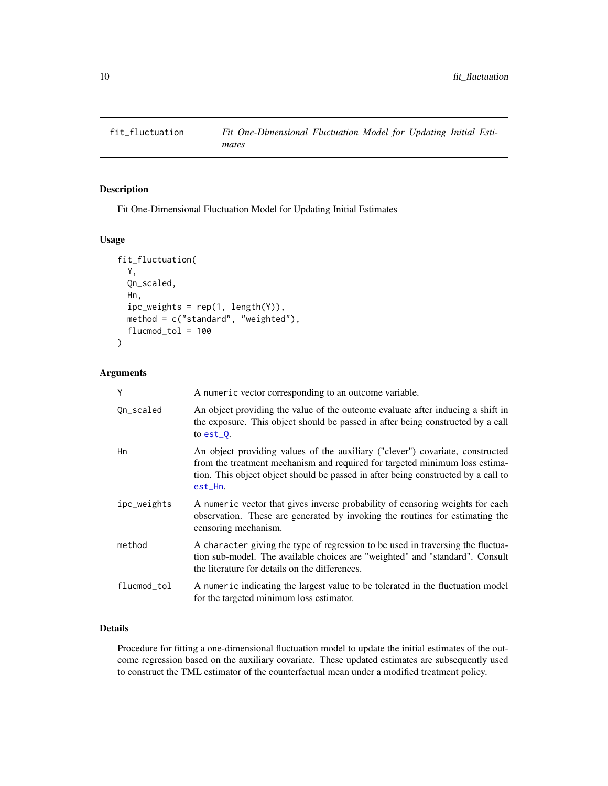<span id="page-9-1"></span><span id="page-9-0"></span>

# Description

Fit One-Dimensional Fluctuation Model for Updating Initial Estimates

# Usage

```
fit_fluctuation(
  Y,
  Qn_scaled,
 Hn,
  ipc_weights = rep(1, length(Y)),method = c("standard", "weighted"),
  flucmod\_tol = 100)
```
# Arguments

| Y           | A numeric vector corresponding to an outcome variable.                                                                                                                                                                                                       |
|-------------|--------------------------------------------------------------------------------------------------------------------------------------------------------------------------------------------------------------------------------------------------------------|
| Qn_scaled   | An object providing the value of the outcome evaluate after inducing a shift in<br>the exposure. This object should be passed in after being constructed by a call<br>to $est_0$ .                                                                           |
| Hn          | An object providing values of the auxiliary ("clever") covariate, constructed<br>from the treatment mechanism and required for targeted minimum loss estima-<br>tion. This object object should be passed in after being constructed by a call to<br>est_Hn. |
| ipc_weights | A numeric vector that gives inverse probability of censoring weights for each<br>observation. These are generated by invoking the routines for estimating the<br>censoring mechanism.                                                                        |
| method      | A character giving the type of regression to be used in traversing the fluctua-<br>tion sub-model. The available choices are "weighted" and "standard". Consult<br>the literature for details on the differences.                                            |
| flucmod_tol | A numeric indicating the largest value to be tolerated in the fluctuation model<br>for the targeted minimum loss estimator.                                                                                                                                  |

# Details

Procedure for fitting a one-dimensional fluctuation model to update the initial estimates of the outcome regression based on the auxiliary covariate. These updated estimates are subsequently used to construct the TML estimator of the counterfactual mean under a modified treatment policy.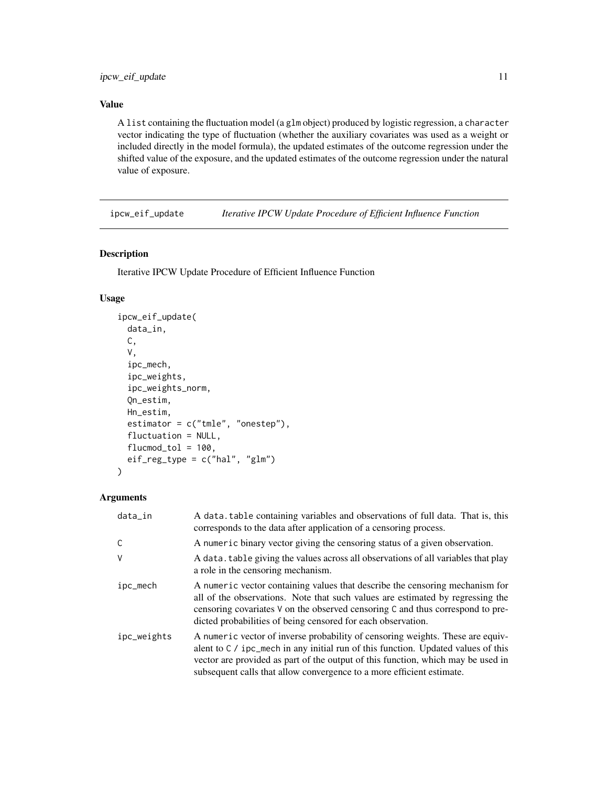# <span id="page-10-0"></span>Value

A list containing the fluctuation model (a glm object) produced by logistic regression, a character vector indicating the type of fluctuation (whether the auxiliary covariates was used as a weight or included directly in the model formula), the updated estimates of the outcome regression under the shifted value of the exposure, and the updated estimates of the outcome regression under the natural value of exposure.

ipcw\_eif\_update *Iterative IPCW Update Procedure of Efficient Influence Function*

## Description

Iterative IPCW Update Procedure of Efficient Influence Function

# Usage

```
ipcw_eif_update(
 data_in,
 C,
  V,
  ipc_mech,
  ipc_weights,
  ipc_weights_norm,
 Qn_estim,
 Hn_estim,
  estimator = c("tmle", "onestep"),
  fluctuation = NULL,
  flucmod\_tol = 100,
  eif_reg_type = c("hal", "glm"))
```

| data_in     | A data, table containing variables and observations of full data. That is, this<br>corresponds to the data after application of a censoring process.                                                                                                                                                                               |
|-------------|------------------------------------------------------------------------------------------------------------------------------------------------------------------------------------------------------------------------------------------------------------------------------------------------------------------------------------|
| C           | A numeric binary vector giving the censoring status of a given observation.                                                                                                                                                                                                                                                        |
| $\vee$      | A data, table giving the values across all observations of all variables that play<br>a role in the censoring mechanism.                                                                                                                                                                                                           |
| ipc_mech    | A numeric vector containing values that describe the censoring mechanism for<br>all of the observations. Note that such values are estimated by regressing the<br>censoring covariates V on the observed censoring C and thus correspond to pre-<br>dicted probabilities of being censored for each observation.                   |
| ipc_weights | A numeric vector of inverse probability of censoring weights. These are equiv-<br>alent to $C / ipc$ mech in any initial run of this function. Updated values of this<br>vector are provided as part of the output of this function, which may be used in<br>subsequent calls that allow convergence to a more efficient estimate. |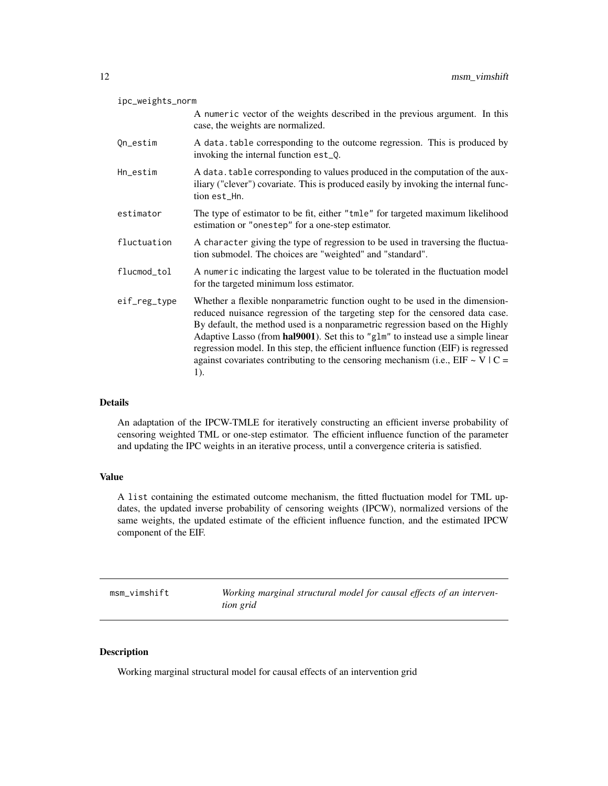<span id="page-11-0"></span>

| ipc_weights_norm |                                                                                                                                                                                                                                                                                                                                                                                                                                                                                                                       |
|------------------|-----------------------------------------------------------------------------------------------------------------------------------------------------------------------------------------------------------------------------------------------------------------------------------------------------------------------------------------------------------------------------------------------------------------------------------------------------------------------------------------------------------------------|
|                  | A numeric vector of the weights described in the previous argument. In this<br>case, the weights are normalized.                                                                                                                                                                                                                                                                                                                                                                                                      |
| Qn_estim         | A data table corresponding to the outcome regression. This is produced by<br>invoking the internal function est_Q.                                                                                                                                                                                                                                                                                                                                                                                                    |
| Hn_estim         | A data. table corresponding to values produced in the computation of the aux-<br>iliary ("clever") covariate. This is produced easily by invoking the internal func-<br>tion est_Hn.                                                                                                                                                                                                                                                                                                                                  |
| estimator        | The type of estimator to be fit, either "tmle" for targeted maximum likelihood<br>estimation or "onestep" for a one-step estimator.                                                                                                                                                                                                                                                                                                                                                                                   |
| fluctuation      | A character giving the type of regression to be used in traversing the fluctua-<br>tion submodel. The choices are "weighted" and "standard".                                                                                                                                                                                                                                                                                                                                                                          |
| flucmod_tol      | A numeric indicating the largest value to be tolerated in the fluctuation model<br>for the targeted minimum loss estimator.                                                                                                                                                                                                                                                                                                                                                                                           |
| eif_reg_type     | Whether a flexible nonparametric function ought to be used in the dimension-<br>reduced nuisance regression of the targeting step for the censored data case.<br>By default, the method used is a nonparametric regression based on the Highly<br>Adaptive Lasso (from hal9001). Set this to "g1m" to instead use a simple linear<br>regression model. In this step, the efficient influence function (EIF) is regressed<br>against covariates contributing to the censoring mechanism (i.e., $EIF \sim V/C =$<br>1). |

# Details

An adaptation of the IPCW-TMLE for iteratively constructing an efficient inverse probability of censoring weighted TML or one-step estimator. The efficient influence function of the parameter and updating the IPC weights in an iterative process, until a convergence criteria is satisfied.

# Value

A list containing the estimated outcome mechanism, the fitted fluctuation model for TML updates, the updated inverse probability of censoring weights (IPCW), normalized versions of the same weights, the updated estimate of the efficient influence function, and the estimated IPCW component of the EIF.

<span id="page-11-1"></span>

| msm_vimshift | Working marginal structural model for causal effects of an interven- |
|--------------|----------------------------------------------------------------------|
|              | tion grid                                                            |

# Description

Working marginal structural model for causal effects of an intervention grid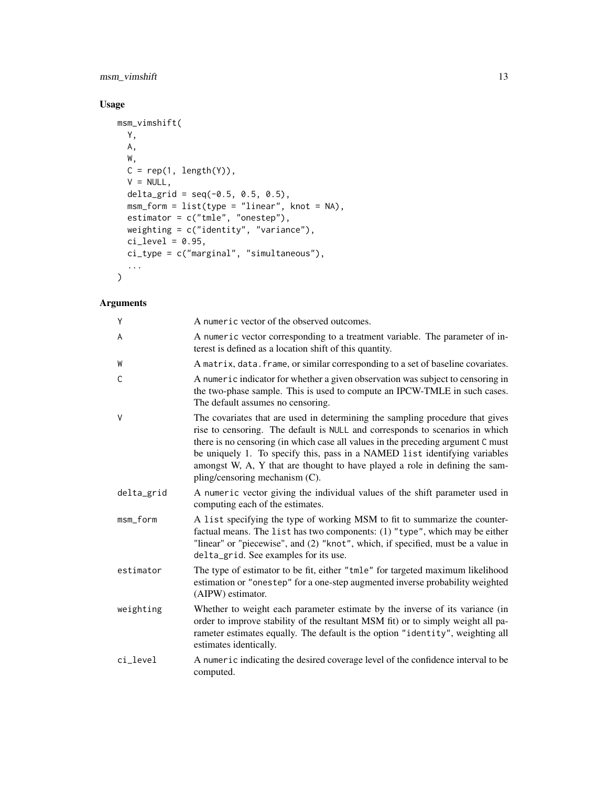# msm\_vimshift 13

# Usage

```
msm_vimshift(
 Y,
 A,
 W,
 C = rep(1, length(Y)),V = NULL,delta_grid = seq(-0.5, 0.5, 0.5),
 msm_form = list(type = "linear", knot = NA),
 estimator = c("tmle", "onestep"),
 weighting = c("identity", "variance"),
 ci\_level = 0.95,ci_type = c("marginal", "simultaneous"),
  ...
\mathcal{L}
```

| Ý          | A numeric vector of the observed outcomes.                                                                                                                                                                                                                                                                                                                                                                                                       |
|------------|--------------------------------------------------------------------------------------------------------------------------------------------------------------------------------------------------------------------------------------------------------------------------------------------------------------------------------------------------------------------------------------------------------------------------------------------------|
| A          | A numeric vector corresponding to a treatment variable. The parameter of in-<br>terest is defined as a location shift of this quantity.                                                                                                                                                                                                                                                                                                          |
| W          | A matrix, data. frame, or similar corresponding to a set of baseline covariates.                                                                                                                                                                                                                                                                                                                                                                 |
| C          | A numeric indicator for whether a given observation was subject to censoring in<br>the two-phase sample. This is used to compute an IPCW-TMLE in such cases.<br>The default assumes no censoring.                                                                                                                                                                                                                                                |
| V          | The covariates that are used in determining the sampling procedure that gives<br>rise to censoring. The default is NULL and corresponds to scenarios in which<br>there is no censoring (in which case all values in the preceding argument C must<br>be uniquely 1. To specify this, pass in a NAMED list identifying variables<br>amongst W, A, Y that are thought to have played a role in defining the sam-<br>pling/censoring mechanism (C). |
| delta_grid | A numeric vector giving the individual values of the shift parameter used in<br>computing each of the estimates.                                                                                                                                                                                                                                                                                                                                 |
| msm_form   | A list specifying the type of working MSM to fit to summarize the counter-<br>factual means. The list has two components: (1) "type", which may be either<br>"linear" or "piecewise", and (2) "knot", which, if specified, must be a value in<br>delta_grid. See examples for its use.                                                                                                                                                           |
| estimator  | The type of estimator to be fit, either "tmle" for targeted maximum likelihood<br>estimation or "onestep" for a one-step augmented inverse probability weighted<br>(AIPW) estimator.                                                                                                                                                                                                                                                             |
| weighting  | Whether to weight each parameter estimate by the inverse of its variance (in<br>order to improve stability of the resultant MSM fit) or to simply weight all pa-<br>rameter estimates equally. The default is the option "identity", weighting all<br>estimates identically.                                                                                                                                                                     |
| ci_level   | A numeric indicating the desired coverage level of the confidence interval to be<br>computed.                                                                                                                                                                                                                                                                                                                                                    |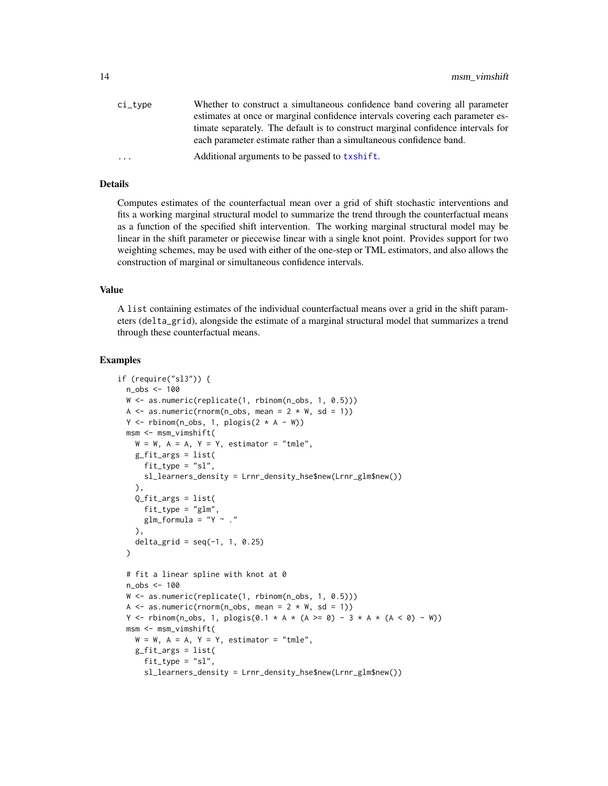<span id="page-13-0"></span>

| ci_tvpe | Whether to construct a simultaneous confidence band covering all parameter       |
|---------|----------------------------------------------------------------------------------|
|         | estimates at once or marginal confidence intervals covering each parameter es-   |
|         | timate separately. The default is to construct marginal confidence intervals for |
|         | each parameter estimate rather than a simultaneous confidence band.              |
| .       | Additional arguments to be passed to txshift.                                    |
|         |                                                                                  |

# Details

Computes estimates of the counterfactual mean over a grid of shift stochastic interventions and fits a working marginal structural model to summarize the trend through the counterfactual means as a function of the specified shift intervention. The working marginal structural model may be linear in the shift parameter or piecewise linear with a single knot point. Provides support for two weighting schemes, may be used with either of the one-step or TML estimators, and also allows the construction of marginal or simultaneous confidence intervals.

#### Value

A list containing estimates of the individual counterfactual means over a grid in the shift parameters (delta\_grid), alongside the estimate of a marginal structural model that summarizes a trend through these counterfactual means.

```
if (require("sl3")) {
 n_obs <- 100
 W \leftarrow as.numeric(replicate(1, rbinom(n_obs, 1, 0.5)))
 A \leq as.numeric(rnorm(n_obs, mean = 2 \star W, sd = 1))
 Y \le - rbinom(n_obs, 1, plogis(2 * A - W))
 msm <- msm_vimshift(
   W = W, A = A, Y = Y, estimator = "tmle",
    g_fit_args = list(
      fit_type = "sl",sl_learners_density = Lrnr_density_hse$new(Lrnr_glm$new())
   ),
    0_fit_args = list(
      fit_type = "glm",
      glm_fformula = "Y ~ ."
    ),
    delta_grid = seq(-1, 1, 0.25))
 # fit a linear spline with knot at 0
 n_obs <- 100
 W <- as.numeric(replicate(1, rbinom(n_obs, 1, 0.5)))
 A \leq as.numeric(rnorm(n_obs, mean = 2 \star W, sd = 1))
 Y <- rbinom(n_obs, 1, plogis(0.1 * A * (A >= 0) - 3 * A * (A < 0) - W))
 msm <- msm_vimshift(
    W = W, A = A, Y = Y, estimator = "tmle",
   g_fit_args = list(
      fit_type = "sl",sl_learners_density = Lrnr_density_hse$new(Lrnr_glm$new())
```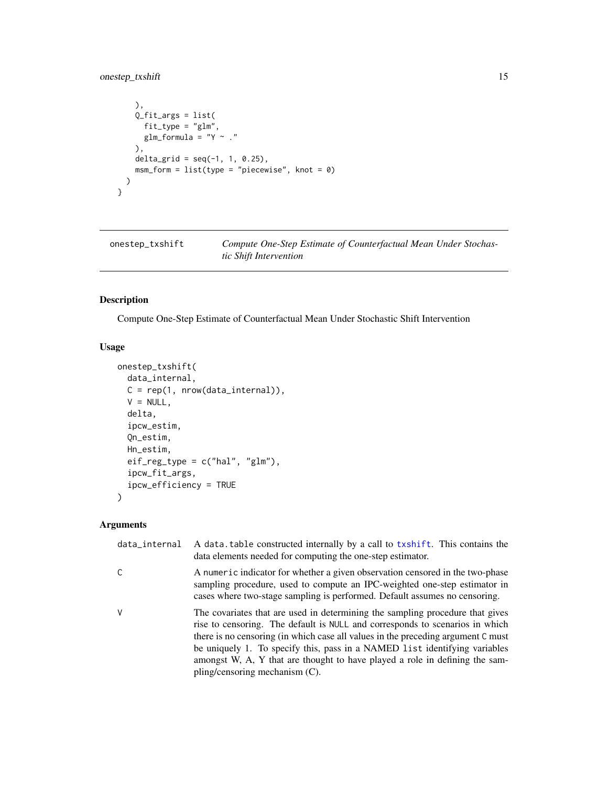# <span id="page-14-0"></span>onestep\_txshift 15

```
),
   Q_fit_args = list(
      fit_type = "glm",glm_fformula = "Y ~ ."
   ),
   delta_grid = seq(-1, 1, 0.25),
   msm_form = list(type = "piecewise", knot = 0))
}
```
onestep\_txshift *Compute One-Step Estimate of Counterfactual Mean Under Stochastic Shift Intervention*

# Description

Compute One-Step Estimate of Counterfactual Mean Under Stochastic Shift Intervention

# Usage

```
onestep_txshift(
  data_internal,
 C = rep(1, nrow(data_internal)),V = NULL,delta,
  ipcw_estim,
  Qn_estim,
 Hn_estim,
  eif_reg_type = c("hal", "glm"),
  ipcw_fit_args,
  ipcw_efficiency = TRUE
)
```

| data_internal | A data table constructed internally by a call to txshift. This contains the<br>data elements needed for computing the one-step estimator.                                                                                                                                                                                                                                                                                                        |
|---------------|--------------------------------------------------------------------------------------------------------------------------------------------------------------------------------------------------------------------------------------------------------------------------------------------------------------------------------------------------------------------------------------------------------------------------------------------------|
|               | A numeric indicator for whether a given observation censored in the two-phase<br>sampling procedure, used to compute an IPC-weighted one-step estimator in<br>cases where two-stage sampling is performed. Default assumes no censoring.                                                                                                                                                                                                         |
| V             | The covariates that are used in determining the sampling procedure that gives<br>rise to censoring. The default is NULL and corresponds to scenarios in which<br>there is no censoring (in which case all values in the preceding argument C must<br>be uniquely 1. To specify this, pass in a NAMED list identifying variables<br>amongst W, A, Y that are thought to have played a role in defining the sam-<br>pling/censoring mechanism (C). |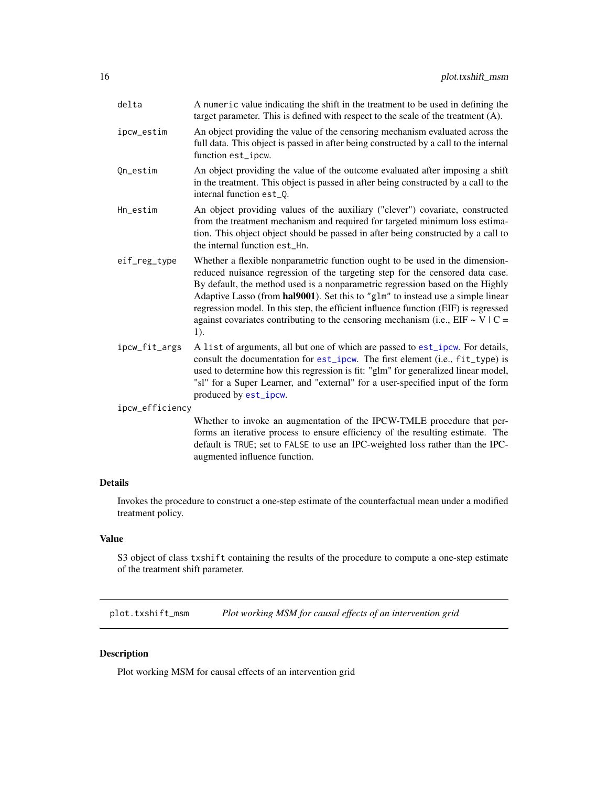<span id="page-15-0"></span>

| delta           | A numeric value indicating the shift in the treatment to be used in defining the<br>target parameter. This is defined with respect to the scale of the treatment (A).                                                                                                                                                                                                                                                                                                                                              |
|-----------------|--------------------------------------------------------------------------------------------------------------------------------------------------------------------------------------------------------------------------------------------------------------------------------------------------------------------------------------------------------------------------------------------------------------------------------------------------------------------------------------------------------------------|
| ipcw_estim      | An object providing the value of the censoring mechanism evaluated across the<br>full data. This object is passed in after being constructed by a call to the internal<br>function est_ipcw.                                                                                                                                                                                                                                                                                                                       |
| Qn_estim        | An object providing the value of the outcome evaluated after imposing a shift<br>in the treatment. This object is passed in after being constructed by a call to the<br>internal function est_0.                                                                                                                                                                                                                                                                                                                   |
| Hn_estim        | An object providing values of the auxiliary ("clever") covariate, constructed<br>from the treatment mechanism and required for targeted minimum loss estima-<br>tion. This object object should be passed in after being constructed by a call to<br>the internal function est_Hn.                                                                                                                                                                                                                                 |
| eif_reg_type    | Whether a flexible nonparametric function ought to be used in the dimension-<br>reduced nuisance regression of the targeting step for the censored data case.<br>By default, the method used is a nonparametric regression based on the Highly<br>Adaptive Lasso (from hal9001). Set this to "glm" to instead use a simple linear<br>regression model. In this step, the efficient influence function (EIF) is regressed<br>against covariates contributing to the censoring mechanism (i.e., EIF ~ V   C =<br>1). |
| ipcw_fit_args   | A list of arguments, all but one of which are passed to est_ipcw. For details,<br>consult the documentation for est_ipcw. The first element (i.e., fit_type) is<br>used to determine how this regression is fit: "glm" for generalized linear model,<br>"sl" for a Super Learner, and "external" for a user-specified input of the form<br>produced by est_ipcw.                                                                                                                                                   |
| ipcw_efficiency |                                                                                                                                                                                                                                                                                                                                                                                                                                                                                                                    |
|                 | Whether to invoke an augmentation of the IPCW-TMLE procedure that per-<br>forms an iterative process to ensure efficiency of the resulting estimate. The<br>default is TRUE; set to FALSE to use an IPC-weighted loss rather than the IPC-                                                                                                                                                                                                                                                                         |

#### Details

Invokes the procedure to construct a one-step estimate of the counterfactual mean under a modified treatment policy.

# Value

S3 object of class txshift containing the results of the procedure to compute a one-step estimate of the treatment shift parameter.

plot.txshift\_msm *Plot working MSM for causal effects of an intervention grid*

augmented influence function.

# Description

Plot working MSM for causal effects of an intervention grid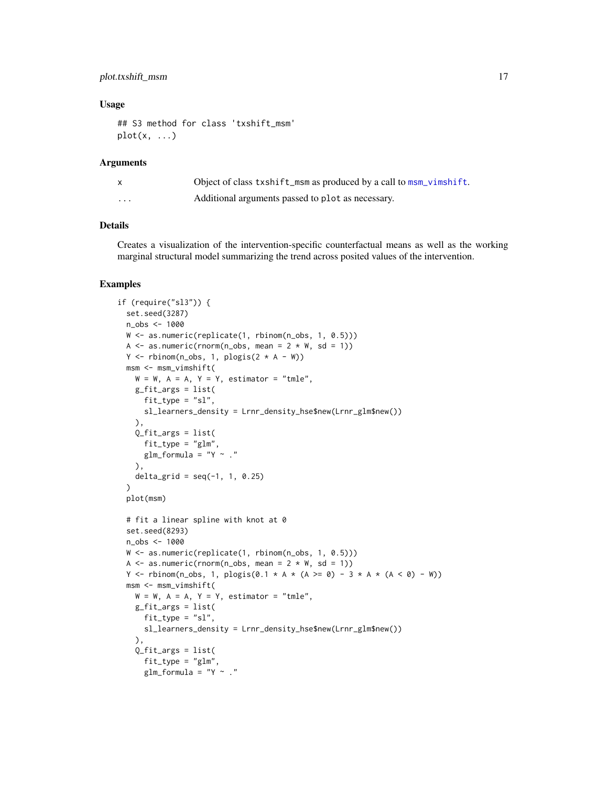# <span id="page-16-0"></span>plot.txshift\_msm 17

#### Usage

```
## S3 method for class 'txshift_msm'
plot(x, \ldots)
```
# Arguments

|         | Object of class txshift_msm as produced by a call to msm_vimshift. |
|---------|--------------------------------------------------------------------|
| $\cdot$ | Additional arguments passed to plot as necessary.                  |

# Details

Creates a visualization of the intervention-specific counterfactual means as well as the working marginal structural model summarizing the trend across posited values of the intervention.

```
if (require("sl3")) {
 set.seed(3287)
 n_obs <- 1000
 W <- as.numeric(replicate(1, rbinom(n_obs, 1, 0.5)))
 A \leq as.numeric(rnorm(n_obs, mean = 2 * W, sd = 1))
 Y \leftarrow \text{rbinom}(n\_obs, 1, \text{plogis}(2 * A - W))msm <- msm_vimshift(
   W = W, A = A, Y = Y, estimator = "tmle",
   g_fit_args = list(
      fit_type = "sl",sl_learners_density = Lrnr_density_hse$new(Lrnr_glm$new())
   ),
    Q_fit_args = list(
     fit_type = "glm",
      glm_formula = "Y \sim ."
    ),
    delta_grid = seq(-1, 1, 0.25))
 plot(msm)
 # fit a linear spline with knot at 0
 set.seed(8293)
 n_obs <- 1000
 W <- as.numeric(replicate(1, rbinom(n_obs, 1, 0.5)))
 A \leq as.numeric(rnorm(n_obs, mean = 2 \angle W, sd = 1))
 Y <- rbinom(n_obs, 1, plogis(0.1 * A * (A >= 0) - 3 * A * (A < 0) - W))
 msm <- msm_vimshift(
   W = W, A = A, Y = Y, estimator = "tmle",
   g_fit_args = list(
      fit_type = "sl",sl_learners_density = Lrnr_density_hse$new(Lrnr_glm$new())
   ),
    Q_fit_args = list(
      fit_type = "glm",glm_formula = "Y ~ ."
```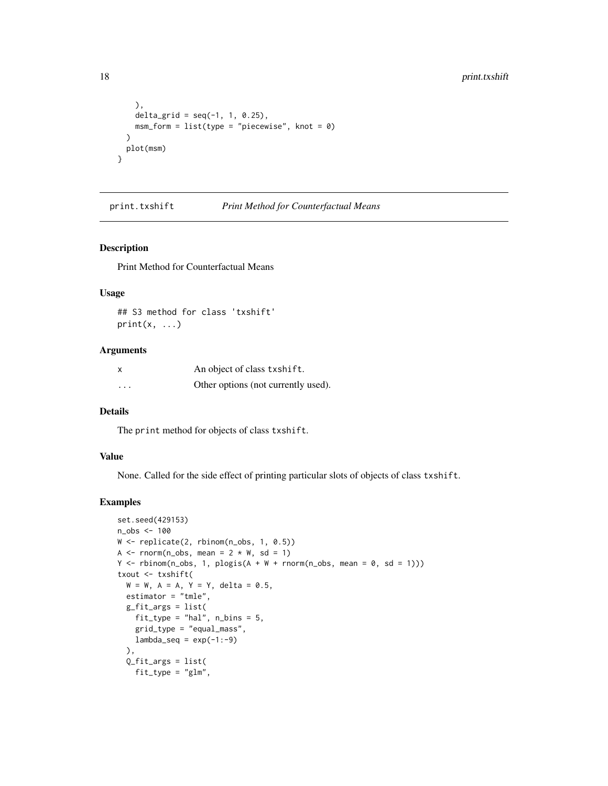```
),
   delta_grid = seq(-1, 1, 0.25),
   msm_form = list(type = "piecewise", knot = 0))
 plot(msm)
}
```
print.txshift *Print Method for Counterfactual Means*

#### Description

Print Method for Counterfactual Means

#### Usage

## S3 method for class 'txshift'  $print(x, \ldots)$ 

#### Arguments

| X        | An object of class txshift.         |
|----------|-------------------------------------|
| $\cdots$ | Other options (not currently used). |

#### Details

The print method for objects of class txshift.

#### Value

None. Called for the side effect of printing particular slots of objects of class txshift.

```
set.seed(429153)
n_obs <- 100
W <- replicate(2, rbinom(n_obs, 1, 0.5))
A \leq rnorm(n_obs, mean = 2 \angle W, sd = 1)
Y \le rbinom(n_obs, 1, plogis(A + W + rnorm(n_obs, mean = 0, sd = 1)))
txout <- txshift(
  W = W, A = A, Y = Y, delta = 0.5,
  estimator = "tmle",
  g_fit_args = list(
   fit_type = "hal", n_bins = 5,grid_type = "equal_mass",
   lambda\_seq = exp(-1:-9)),
  Q_fit_args = list(
   fit_type = "glm",
```
<span id="page-17-0"></span>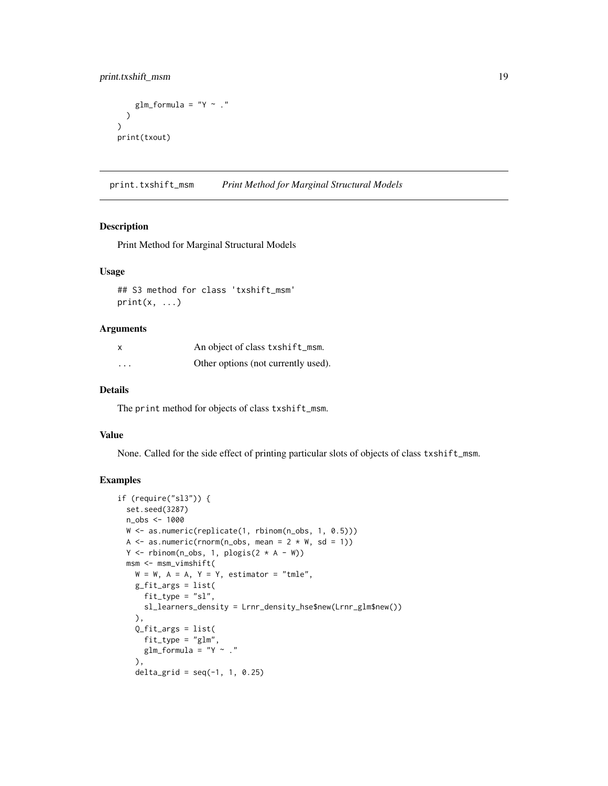```
glm_formula = "Y ~ ."
  )
)
print(txout)
```
print.txshift\_msm *Print Method for Marginal Structural Models*

### Description

Print Method for Marginal Structural Models

#### Usage

## S3 method for class 'txshift\_msm'  $print(x, \ldots)$ 

# Arguments

| x       | An object of class txshift_msm.     |
|---------|-------------------------------------|
| $\cdot$ | Other options (not currently used). |

#### Details

The print method for objects of class txshift\_msm.

#### Value

None. Called for the side effect of printing particular slots of objects of class txshift\_msm.

```
if (require("sl3")) {
  set.seed(3287)
  n_obs <- 1000
  W <- as.numeric(replicate(1, rbinom(n_obs, 1, 0.5)))
  A \leq as.numeric(rnorm(n_obs, mean = 2 \star W, sd = 1))
  Y \leftarrow \text{rbinom}(n\_obs, 1, plogis(2 * A - W))msm <- msm_vimshift(
    W = W, A = A, Y = Y, estimator = "tmle",
    g_fit_args = list(
      fit_type = "sl",
      sl_learners_density = Lrnr_density_hse$new(Lrnr_glm$new())
    ),
    Q_fit_args = list(
      fit_type = "glm",
      glm_fformula = "Y ~ ."
    ),
    delta_grid = seq(-1, 1, 0.25)
```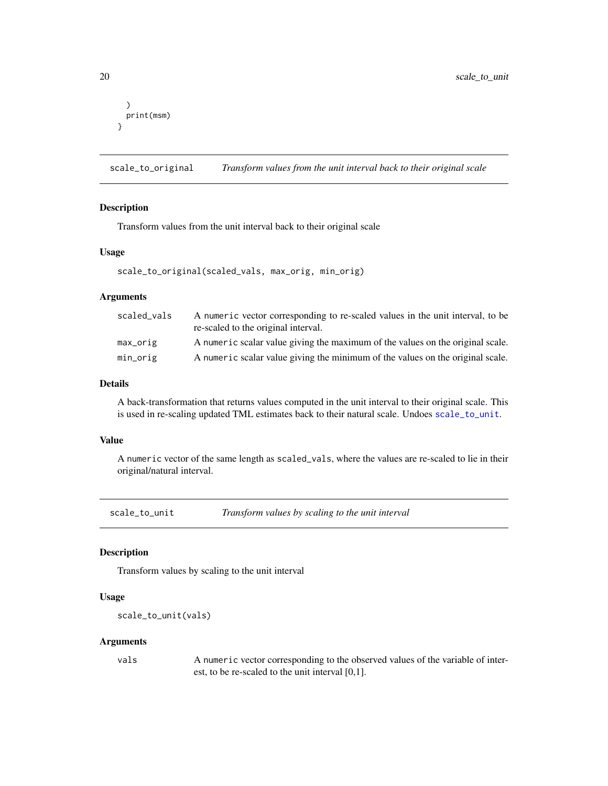```
)
  print(msm)
}
```
<span id="page-19-2"></span>scale\_to\_original *Transform values from the unit interval back to their original scale*

# Description

Transform values from the unit interval back to their original scale

#### Usage

```
scale_to_original(scaled_vals, max_orig, min_orig)
```
# Arguments

| scaled vals | A numeric vector corresponding to re-scaled values in the unit interval, to be<br>re-scaled to the original interval. |
|-------------|-----------------------------------------------------------------------------------------------------------------------|
| max_orig    | A numeric scalar value giving the maximum of the values on the original scale.                                        |
| min_orig    | A numeric scalar value giving the minimum of the values on the original scale.                                        |

# Details

A back-transformation that returns values computed in the unit interval to their original scale. This is used in re-scaling updated TML estimates back to their natural scale. Undoes [scale\\_to\\_unit](#page-19-1).

#### Value

A numeric vector of the same length as scaled\_vals, where the values are re-scaled to lie in their original/natural interval.

<span id="page-19-1"></span>scale\_to\_unit *Transform values by scaling to the unit interval*

# Description

Transform values by scaling to the unit interval

#### Usage

```
scale_to_unit(vals)
```
#### Arguments

vals A numeric vector corresponding to the observed values of the variable of interest, to be re-scaled to the unit interval [0,1].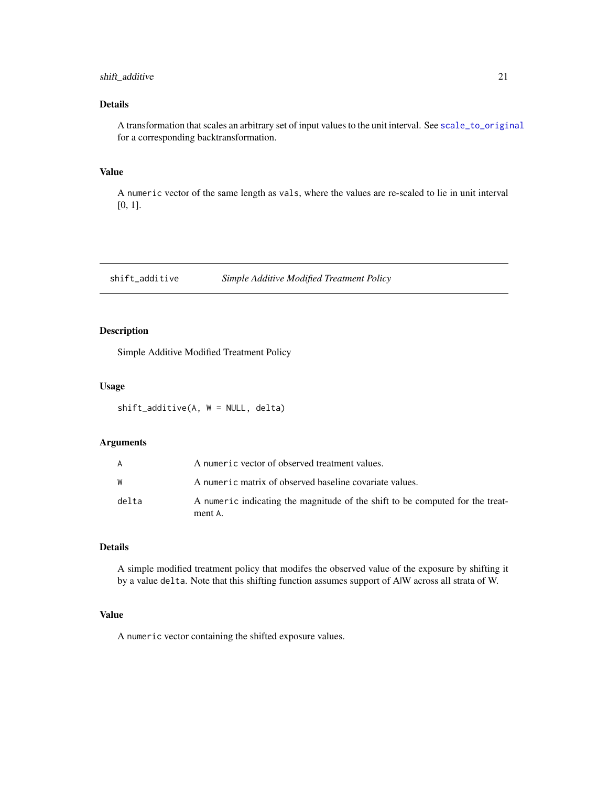# <span id="page-20-0"></span>shift\_additive 21

# Details

A transformation that scales an arbitrary set of input values to the unit interval. See [scale\\_to\\_original](#page-19-2) for a corresponding backtransformation.

# Value

A numeric vector of the same length as vals, where the values are re-scaled to lie in unit interval [0, 1].

<span id="page-20-1"></span>shift\_additive *Simple Additive Modified Treatment Policy*

# Description

Simple Additive Modified Treatment Policy

# Usage

shift\_additive(A, W = NULL, delta)

# Arguments

| A     | A numeric vector of observed treatment values.                                           |
|-------|------------------------------------------------------------------------------------------|
| W     | A numeric matrix of observed baseline covariate values.                                  |
| delta | A numeric indicating the magnitude of the shift to be computed for the treat-<br>ment A. |

# Details

A simple modified treatment policy that modifes the observed value of the exposure by shifting it by a value delta. Note that this shifting function assumes support of A|W across all strata of W.

#### Value

A numeric vector containing the shifted exposure values.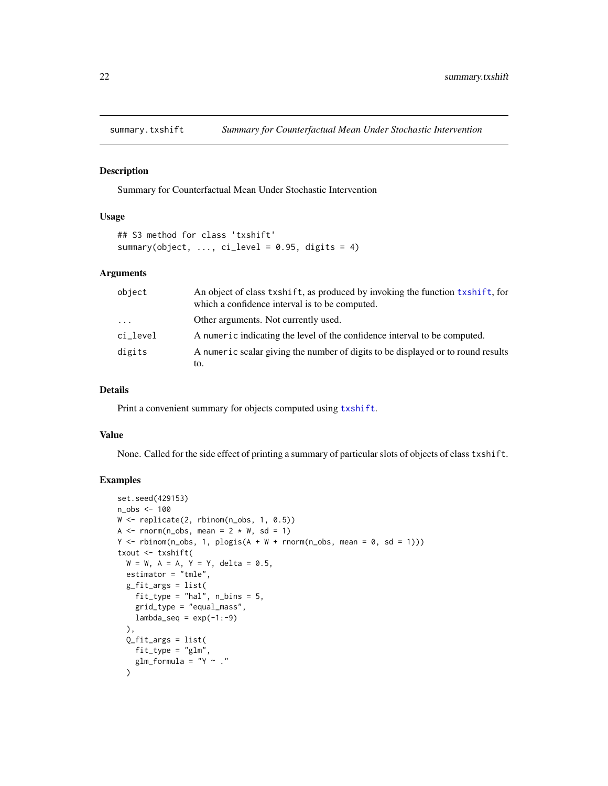<span id="page-21-0"></span>

#### Description

Summary for Counterfactual Mean Under Stochastic Intervention

## Usage

```
## S3 method for class 'txshift'
summary(object, \ldots, ci_level = 0.95, digits = 4)
```
#### Arguments

| object   | An object of class txshift, as produced by invoking the function txshift, for<br>which a confidence interval is to be computed. |
|----------|---------------------------------------------------------------------------------------------------------------------------------|
| $\cdot$  | Other arguments. Not currently used.                                                                                            |
| ci_level | A numeric indicating the level of the confidence interval to be computed.                                                       |
| digits   | A numeric scalar giving the number of digits to be displayed or to round results                                                |
|          | to.                                                                                                                             |

#### Details

Print a convenient summary for objects computed using [txshift](#page-23-1).

#### Value

None. Called for the side effect of printing a summary of particular slots of objects of class txshift.

```
set.seed(429153)
n_obs <- 100
W <- replicate(2, rbinom(n_obs, 1, 0.5))
A \le - rnorm(n_obs, mean = 2 \times W, sd = 1)
Y \le rbinom(n_obs, 1, plogis(A + W + rnorm(n_obs, mean = 0, sd = 1)))
txout <- txshift(
  W = W, A = A, Y = Y, delta = 0.5,
  estimator = "tmle",
  g_fit_args = list(
   fit_type = "hal", n_bins = 5,grid_type = "equal_mass",
   lambda\_seq = exp(-1:-9)),
  Q_fit_args = list(
   fit_type = "glm",
   glm_formula = "Y ~ ."
  )
```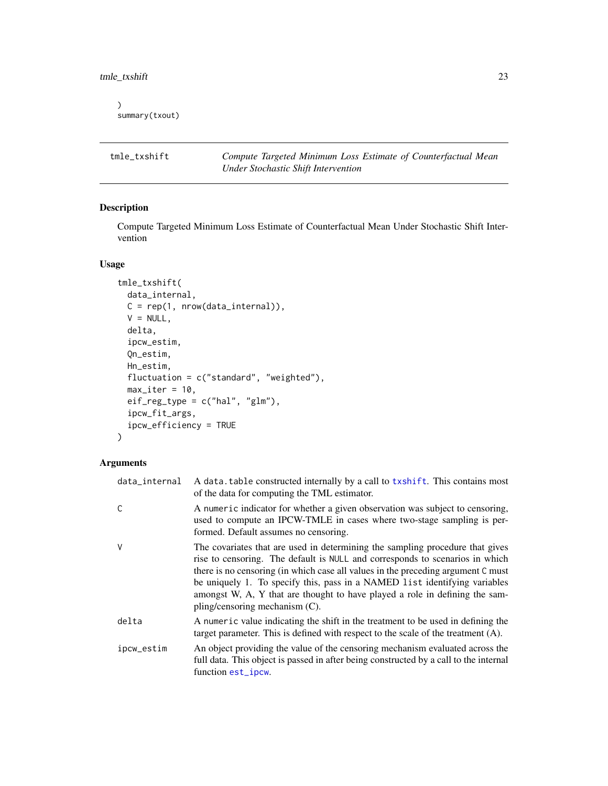<span id="page-22-0"></span>tmle\_txshift 23

```
\mathcal{L}summary(txout)
```
tmle\_txshift *Compute Targeted Minimum Loss Estimate of Counterfactual Mean Under Stochastic Shift Intervention*

# Description

Compute Targeted Minimum Loss Estimate of Counterfactual Mean Under Stochastic Shift Intervention

#### Usage

```
tmle_txshift(
  data_internal,
 C = rep(1, nrow(data_internal)),V = NULL,delta,
  ipcw_estim,
  Qn_estim,
 Hn_estim,
  fluctuation = c("standard", "weighted"),
 max\_iter = 10,
 eif_reg_type = c("hal", "glm"),ipcw_fit_args,
  ipcw_efficiency = TRUE
)
```

| data_internal | A data table constructed internally by a call to txshift. This contains most<br>of the data for computing the TML estimator.                                                                                                                                                                                                                                                                                                                        |
|---------------|-----------------------------------------------------------------------------------------------------------------------------------------------------------------------------------------------------------------------------------------------------------------------------------------------------------------------------------------------------------------------------------------------------------------------------------------------------|
| C             | A numeric indicator for whether a given observation was subject to censoring,<br>used to compute an IPCW-TMLE in cases where two-stage sampling is per-<br>formed. Default assumes no censoring.                                                                                                                                                                                                                                                    |
| V             | The covariates that are used in determining the sampling procedure that gives<br>rise to censoring. The default is NULL and corresponds to scenarios in which<br>there is no censoring (in which case all values in the preceding argument C must<br>be uniquely 1. To specify this, pass in a NAMED list identifying variables<br>amongst W, A, Y that are thought to have played a role in defining the sam-<br>pling/censoring mechanism $(C)$ . |
| delta         | A numeric value indicating the shift in the treatment to be used in defining the<br>target parameter. This is defined with respect to the scale of the treatment $(A)$ .                                                                                                                                                                                                                                                                            |
| ipcw_estim    | An object providing the value of the censoring mechanism evaluated across the<br>full data. This object is passed in after being constructed by a call to the internal<br>function est_ipcw.                                                                                                                                                                                                                                                        |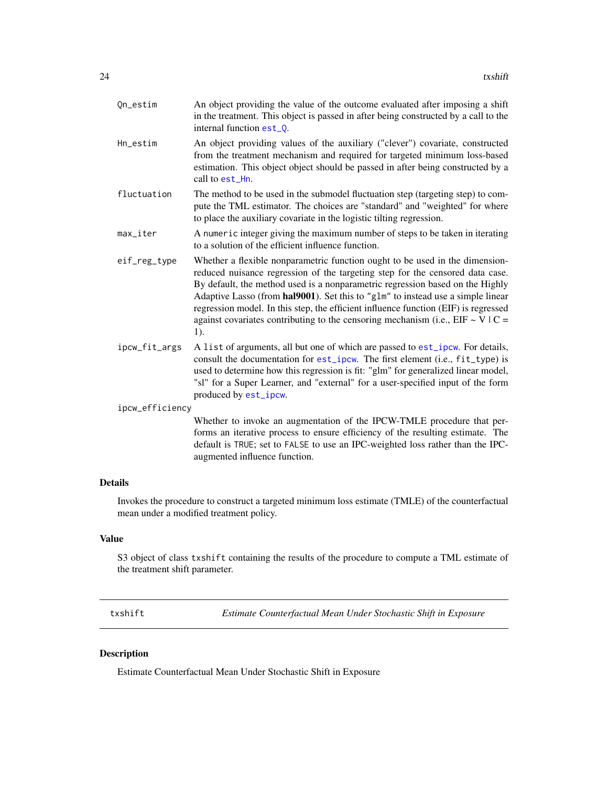<span id="page-23-0"></span>

| Qn_estim        | An object providing the value of the outcome evaluated after imposing a shift<br>in the treatment. This object is passed in after being constructed by a call to the<br>internal function est_0.                                                                                                                                                                                                                                                                                                                      |  |
|-----------------|-----------------------------------------------------------------------------------------------------------------------------------------------------------------------------------------------------------------------------------------------------------------------------------------------------------------------------------------------------------------------------------------------------------------------------------------------------------------------------------------------------------------------|--|
| Hn_estim        | An object providing values of the auxiliary ("clever") covariate, constructed<br>from the treatment mechanism and required for targeted minimum loss-based<br>estimation. This object object should be passed in after being constructed by a<br>call to est Hn.                                                                                                                                                                                                                                                      |  |
| fluctuation     | The method to be used in the submodel fluctuation step (targeting step) to com-<br>pute the TML estimator. The choices are "standard" and "weighted" for where<br>to place the auxiliary covariate in the logistic tilting regression.                                                                                                                                                                                                                                                                                |  |
| max_iter        | A numeric integer giving the maximum number of steps to be taken in iterating<br>to a solution of the efficient influence function.                                                                                                                                                                                                                                                                                                                                                                                   |  |
| eif_reg_type    | Whether a flexible nonparametric function ought to be used in the dimension-<br>reduced nuisance regression of the targeting step for the censored data case.<br>By default, the method used is a nonparametric regression based on the Highly<br>Adaptive Lasso (from hal9001). Set this to "g1m" to instead use a simple linear<br>regression model. In this step, the efficient influence function (EIF) is regressed<br>against covariates contributing to the censoring mechanism (i.e., $EIF \sim V/C =$<br>1). |  |
| ipcw_fit_args   | A list of arguments, all but one of which are passed to est_ipcw. For details,<br>consult the documentation for est_ipcw. The first element (i.e., fit_type) is<br>used to determine how this regression is fit: "glm" for generalized linear model,<br>"sl" for a Super Learner, and "external" for a user-specified input of the form<br>produced by est_ipcw.                                                                                                                                                      |  |
| ipcw_efficiency |                                                                                                                                                                                                                                                                                                                                                                                                                                                                                                                       |  |
|                 | Whether to invoke an augmentation of the IPCW-TMLE procedure that per-<br>forms an iterative process to ensure efficiency of the resulting estimate. The<br>default is TRUE; set to FALSE to use an IPC-weighted loss rather than the IPC-<br>augmented influence function.                                                                                                                                                                                                                                           |  |

# Details

Invokes the procedure to construct a targeted minimum loss estimate (TMLE) of the counterfactual mean under a modified treatment policy.

# Value

S3 object of class txshift containing the results of the procedure to compute a TML estimate of the treatment shift parameter.

<span id="page-23-1"></span>txshift *Estimate Counterfactual Mean Under Stochastic Shift in Exposure*

# Description

Estimate Counterfactual Mean Under Stochastic Shift in Exposure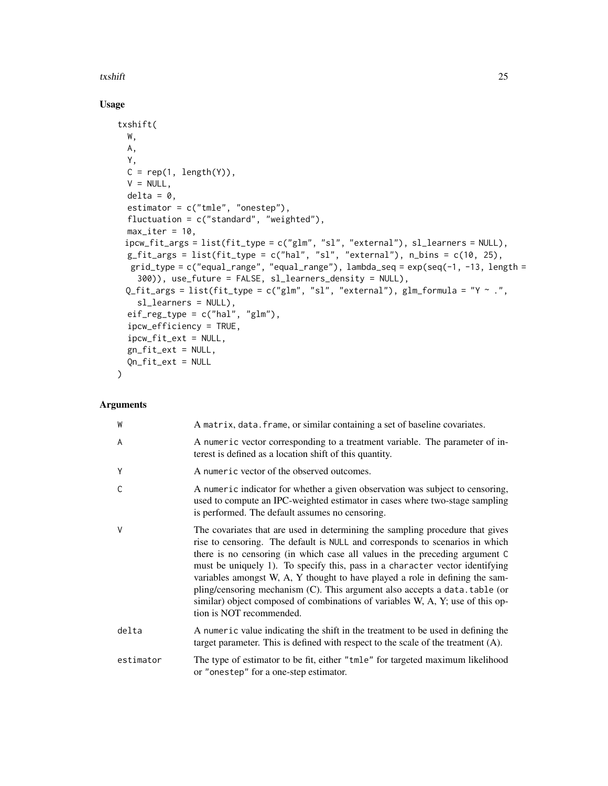# txshift 25

# Usage

```
txshift(
 W,
 A,
 Y,
 C = rep(1, length(Y)),V = NULL,delta = 0,
  estimator = c("tmle", "onestep"),
  fluctuation = c("standard", "weighted"),
  max\_iter = 10,
 ipcw_fit_args = list(fit_type = c("glm", "sl", "external"), sl_learners = NULL),
 g_fit_args = list(fit_type = c("hal", "sl", "external"), n_bins = c(10, 25),
  grid_type = c("equal_range", "equal_range"), lambda_seq = exp(seq(-1, -13, length =300)), use_future = FALSE, sl_learners_density = NULL),
 Q_fit_args = list(fit_type = c("glm", "sl", "external"), glm_formula = "Y ~ .",
    sl_learners = NULL),
  eif_reg_type = c("hal", "glm"),ipcw_efficiency = TRUE,
  ipcw_fit_ext = NULL,
  gn_fit_ext = NULL,
 Qn_fit_ext = NULL
\mathcal{L}
```

| W            | A matrix, data. frame, or similar containing a set of baseline covariates.                                                                                                                                                                                                                                                                                                                                                                                                                                                                                                                                |
|--------------|-----------------------------------------------------------------------------------------------------------------------------------------------------------------------------------------------------------------------------------------------------------------------------------------------------------------------------------------------------------------------------------------------------------------------------------------------------------------------------------------------------------------------------------------------------------------------------------------------------------|
| A            | A numeric vector corresponding to a treatment variable. The parameter of in-<br>terest is defined as a location shift of this quantity.                                                                                                                                                                                                                                                                                                                                                                                                                                                                   |
| Y            | A numeric vector of the observed outcomes.                                                                                                                                                                                                                                                                                                                                                                                                                                                                                                                                                                |
| $\mathsf{C}$ | A numeric indicator for whether a given observation was subject to censoring,<br>used to compute an IPC-weighted estimator in cases where two-stage sampling<br>is performed. The default assumes no censoring.                                                                                                                                                                                                                                                                                                                                                                                           |
| $\vee$       | The covariates that are used in determining the sampling procedure that gives<br>rise to censoring. The default is NULL and corresponds to scenarios in which<br>there is no censoring (in which case all values in the preceding argument C<br>must be uniquely 1). To specify this, pass in a character vector identifying<br>variables amongst W, A, Y thought to have played a role in defining the sam-<br>pling/censoring mechanism (C). This argument also accepts a data. table (or<br>similar) object composed of combinations of variables W, A, Y; use of this op-<br>tion is NOT recommended. |
| delta        | A numeric value indicating the shift in the treatment to be used in defining the<br>target parameter. This is defined with respect to the scale of the treatment $(A)$ .                                                                                                                                                                                                                                                                                                                                                                                                                                  |
| estimator    | The type of estimator to be fit, either "tmle" for targeted maximum likelihood<br>or "onestep" for a one-step estimator.                                                                                                                                                                                                                                                                                                                                                                                                                                                                                  |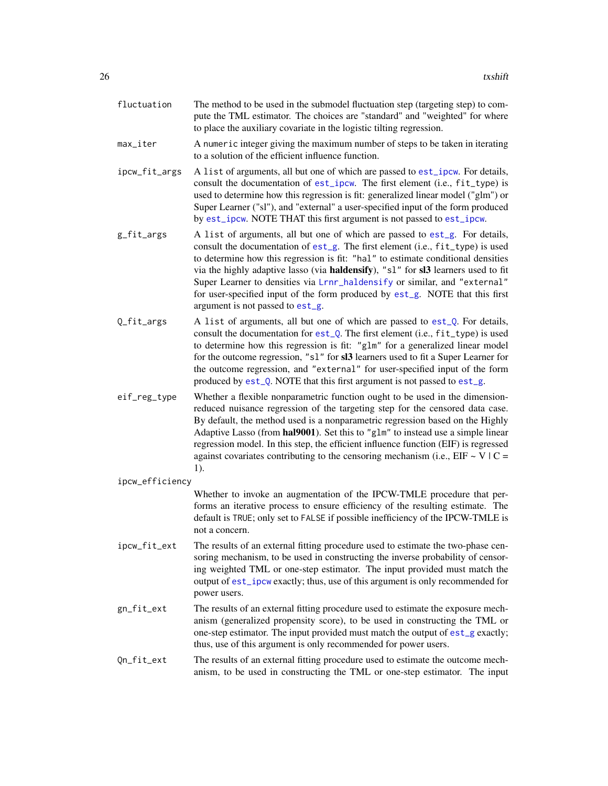<span id="page-25-0"></span>

| fluctuation | The method to be used in the submodel fluctuation step (targeting step) to com- |
|-------------|---------------------------------------------------------------------------------|
|             | pute the TML estimator. The choices are "standard" and "weighted" for where     |
|             | to place the auxiliary covariate in the logistic tilting regression.            |

- max\_iter A numeric integer giving the maximum number of steps to be taken in iterating to a solution of the efficient influence function.
- ipcw\_fit\_args A list of arguments, all but one of which are passed to [est\\_ipcw](#page-7-2). For details, consult the documentation of [est\\_ipcw](#page-7-2). The first element (i.e., fit\_type) is used to determine how this regression is fit: generalized linear model ("glm") or Super Learner ("sl"), and "external" a user-specified input of the form produced by [est\\_ipcw](#page-7-2). NOTE THAT this first argument is not passed to [est\\_ipcw](#page-7-2).
- g\_fit\_args A list of arguments, all but one of which are passed to [est\\_g](#page-5-1). For details, consult the documentation of [est\\_g](#page-5-1). The first element (i.e., fit\_type) is used to determine how this regression is fit: "hal" to estimate conditional densities via the highly adaptive lasso (via haldensify), "sl" for sl3 learners used to fit Super Learner to densities via [Lrnr\\_haldensify](#page-0-0) or similar, and "external" for user-specified input of the form produced by [est\\_g](#page-5-1). NOTE that this first argument is not passed to [est\\_g](#page-5-1).
- $Q_{\text{fit}}$  args A list of arguments, all but one of which are passed to est<sub>- $Q$ </sub>. For details, consult the documentation for [est\\_Q](#page-7-1). The first element (i.e., fit\_type) is used to determine how this regression is fit: "glm" for a generalized linear model for the outcome regression, "sl" for sl3 learners used to fit a Super Learner for the outcome regression, and "external" for user-specified input of the form produced by [est\\_Q](#page-7-1). NOTE that this first argument is not passed to [est\\_g](#page-5-1).
- eif\_reg\_type Whether a flexible nonparametric function ought to be used in the dimensionreduced nuisance regression of the targeting step for the censored data case. By default, the method used is a nonparametric regression based on the Highly Adaptive Lasso (from hal9001). Set this to "glm" to instead use a simple linear regression model. In this step, the efficient influence function (EIF) is regressed against covariates contributing to the censoring mechanism (i.e.,  $EIF \sim V/C =$ 1).
- ipcw\_efficiency

Whether to invoke an augmentation of the IPCW-TMLE procedure that performs an iterative process to ensure efficiency of the resulting estimate. The default is TRUE; only set to FALSE if possible inefficiency of the IPCW-TMLE is not a concern.

- ipcw\_fit\_ext The results of an external fitting procedure used to estimate the two-phase censoring mechanism, to be used in constructing the inverse probability of censoring weighted TML or one-step estimator. The input provided must match the output of [est\\_ipcw](#page-7-2) exactly; thus, use of this argument is only recommended for power users.
- gn\_fit\_ext The results of an external fitting procedure used to estimate the exposure mechanism (generalized propensity score), to be used in constructing the TML or one-step estimator. The input provided must match the output of [est\\_g](#page-5-1) exactly; thus, use of this argument is only recommended for power users.
- Qn\_fit\_ext The results of an external fitting procedure used to estimate the outcome mechanism, to be used in constructing the TML or one-step estimator. The input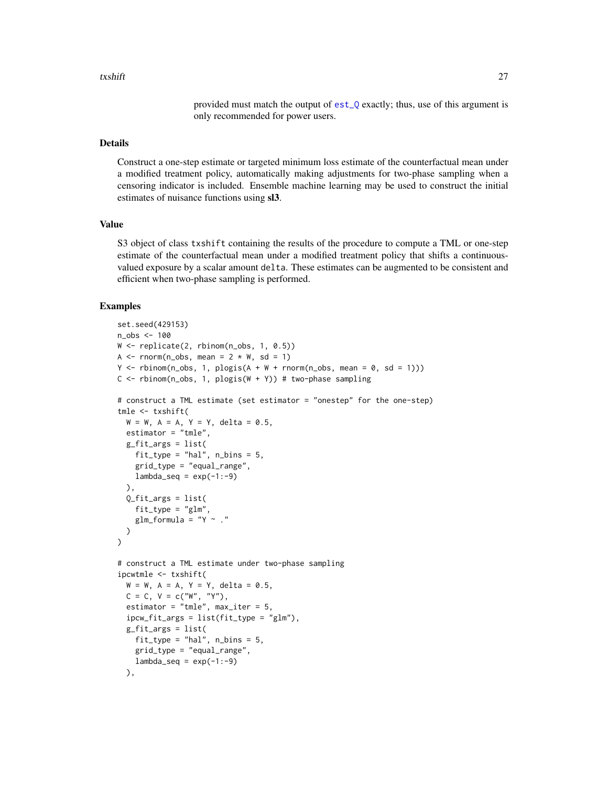provided must match the output of [est\\_Q](#page-7-1) exactly; thus, use of this argument is only recommended for power users.

#### <span id="page-26-0"></span>Details

Construct a one-step estimate or targeted minimum loss estimate of the counterfactual mean under a modified treatment policy, automatically making adjustments for two-phase sampling when a censoring indicator is included. Ensemble machine learning may be used to construct the initial estimates of nuisance functions using sl3.

#### Value

S3 object of class txshift containing the results of the procedure to compute a TML or one-step estimate of the counterfactual mean under a modified treatment policy that shifts a continuousvalued exposure by a scalar amount delta. These estimates can be augmented to be consistent and efficient when two-phase sampling is performed.

```
set.seed(429153)
n_obs <- 100
W <- replicate(2, rbinom(n_obs, 1, 0.5))
A \leq rnorm(n_obs, mean = 2 \neq W, sd = 1)
Y \le rbinom(n_obs, 1, plogis(A + W + rnorm(n_obs, mean = 0, sd = 1)))
C \le rbinom(n_obs, 1, plogis(W + Y)) # two-phase sampling
# construct a TML estimate (set estimator = "onestep" for the one-step)
tmle <- txshift(
  W = W, A = A, Y = Y, delta = 0.5,
  estimator = "tmle",
  g_fit_args = list(
    fit_type = "hal", n_bins = 5,grid_type = "equal_range",
    lambda\_seq = exp(-1:-9)),
  0_fit_args = list(
    fit_type = "glm",
    glm_fformula = "Y ~ ."
  )
\lambda# construct a TML estimate under two-phase sampling
ipcwtmle <- txshift(
  W = W, A = A, Y = Y, delta = 0.5,
  C = C, V = C("W", "Y"),
  estimator = "tmle", max\_iter = 5,
  ipcw_fit_args = list(fit_type = "glm"),
  g_fit_args = list(
    fit_type = "hal", n_bins = 5,grid_type = "equal_range",
    lambda\_seq = exp(-1:-9)),
```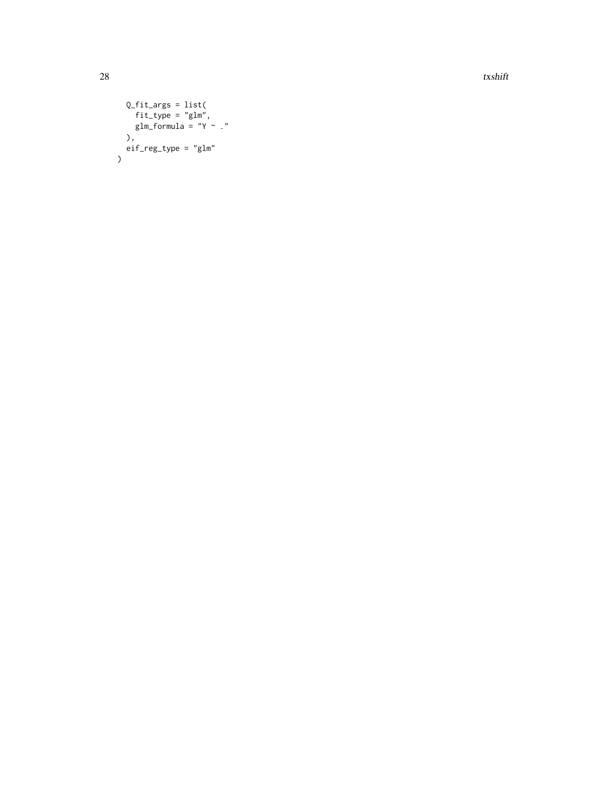28 txshift that the contract of the contract of the contract of the contract of the contract of the contract of the contract of the contract of the contract of the contract of the contract of the contract of the contract o

```
Q_fit_args = list(
    fit_type = "glm",glm_formula = "Y ~ ."
  ),
 eif_reg_type = "glm"\overline{)}
```